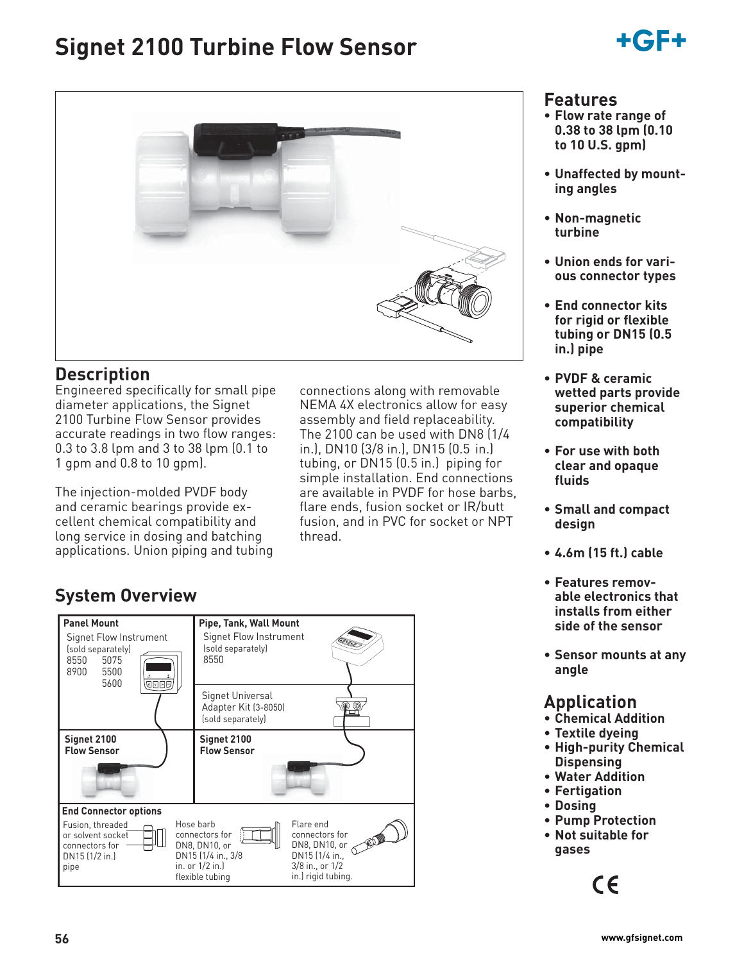# **Signet 2100 Turbine Flow Sensor**





### **Description**

Engineered specifically for small pipe diameter applications, the Signet 2100 Turbine Flow Sensor provides accurate readings in two flow ranges: 0.3 to 3.8 lpm and 3 to 38 lpm (0.1 to 1 gpm and 0.8 to 10 gpm).

The injection-molded PVDF body and ceramic bearings provide excellent chemical compatibility and long service in dosing and batching applications. Union piping and tubing connections along with removable NEMA 4X electronics allow for easy assembly and field replaceability. The 2100 can be used with DN8 (1/4 in.), DN10 (3/8 in.), DN15 (0.5 in.) tubing, or DN15 (0.5 in.) piping for simple installation. End connections are available in PVDF for hose barbs, flare ends, fusion socket or IR/butt fusion, and in PVC for socket or NPT thread.

# **System Overview**



### **Features**

- **Flow rate range of 0.38 to 38 lpm (0.10 to 10 U.S. gpm)**
- **Unaffected by mounting angles**
- **Non-magnetic turbine**
- **Union ends for various connector types**
- **End connector kits for rigid or flexible tubing or DN15 (0.5 in.) pipe**
- **PVDF & ceramic wetted parts provide superior chemical compatibility**
- **For use with both clear and opaque fluids**
- **Small and compact design**
- **4.6m (15 ft.) cable**
- **Features removable electronics that installs from either side of the sensor**
- **Sensor mounts at any angle**

# **Application**

- **Chemical Addition**
- **Textile dyeing**
- **High-purity Chemical Dispensing**
- **Water Addition**
- **Fertigation**
- **Dosing**
- **Pump Protection**
- **Not suitable for gases**